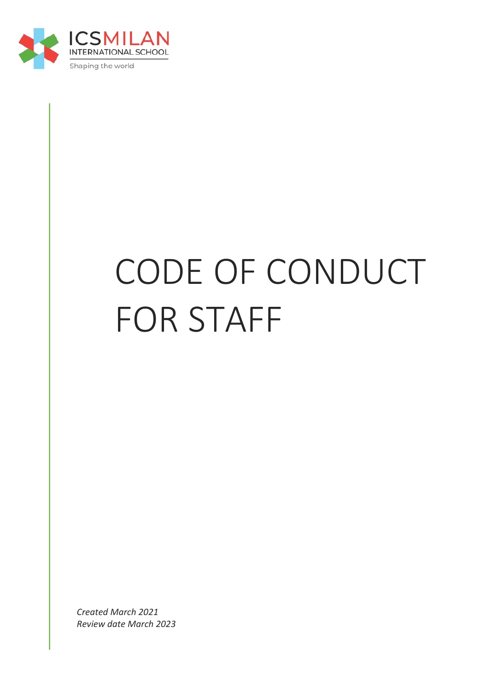

# CODE OF CONDUCT FOR STAFF

*Created March 2021 Review date March 2023*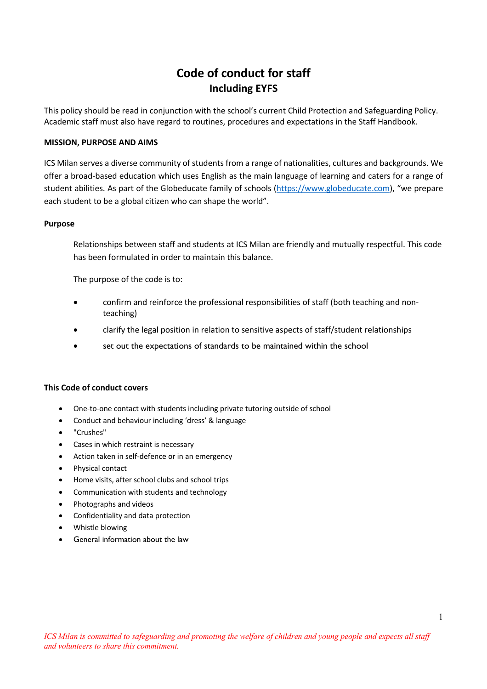# **Code of conduct for staff Including EYFS**

This policy should be read in conjunction with the school's current Child Protection and Safeguarding Policy. Academic staff must also have regard to routines, procedures and expectations in the Staff Handbook.

#### **MISSION, PURPOSE AND AIMS**

ICS Milan serves a diverse community of students from a range of nationalities, cultures and backgrounds. We offer a broad-based education which uses English as the main language of learning and caters for a range of student abilities. As part of the Globeducate family of schools (https://www.globeducate.com), "we prepare each student to be a global citizen who can shape the world".

#### **Purpose**

Relationships between staff and students at ICS Milan are friendly and mutually respectful. This code has been formulated in order to maintain this balance.

The purpose of the code is to:

- confirm and reinforce the professional responsibilities of staff (both teaching and nonteaching)
- clarify the legal position in relation to sensitive aspects of staff/student relationships
- set out the expectations of standards to be maintained within the school

#### **This Code of conduct covers**

- One-to-one contact with students including private tutoring outside of school
- Conduct and behaviour including 'dress' & language
- "Crushes"
- Cases in which restraint is necessary
- Action taken in self-defence or in an emergency
- Physical contact
- Home visits, after school clubs and school trips
- Communication with students and technology
- Photographs and videos
- Confidentiality and data protection
- Whistle blowing
- General information about the law

1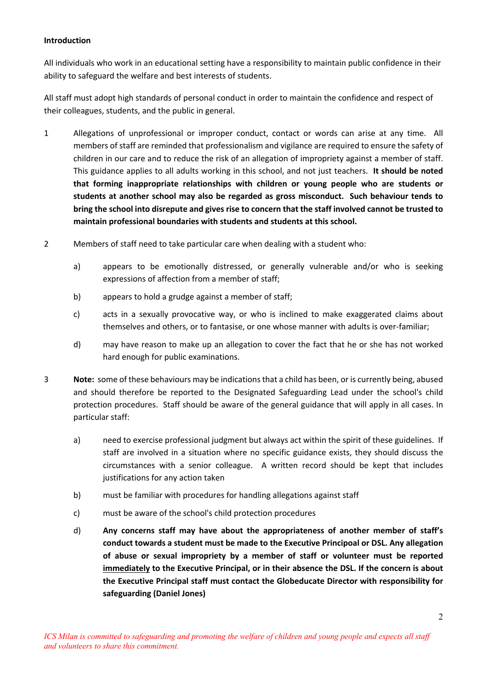# **Introduction**

All individuals who work in an educational setting have a responsibility to maintain public confidence in their ability to safeguard the welfare and best interests of students.

All staff must adopt high standards of personal conduct in order to maintain the confidence and respect of their colleagues, students, and the public in general.

- 1 Allegations of unprofessional or improper conduct, contact or words can arise at any time. All members of staff are reminded that professionalism and vigilance are required to ensure the safety of children in our care and to reduce the risk of an allegation of impropriety against a member of staff. This guidance applies to all adults working in this school, and not just teachers. **It should be noted that forming inappropriate relationships with children or young people who are students or students at another school may also be regarded as gross misconduct. Such behaviour tends to bring the school into disrepute and gives rise to concern that the staff involved cannot be trusted to maintain professional boundaries with students and students at this school.**
- 2 Members of staff need to take particular care when dealing with a student who:
	- a) appears to be emotionally distressed, or generally vulnerable and/or who is seeking expressions of affection from a member of staff;
	- b) appears to hold a grudge against a member of staff;
	- c) acts in a sexually provocative way, or who is inclined to make exaggerated claims about themselves and others, or to fantasise, or one whose manner with adults is over-familiar;
	- d) may have reason to make up an allegation to cover the fact that he or she has not worked hard enough for public examinations.
- 3 **Note:** some of these behaviours may be indications that a child has been, or is currently being, abused and should therefore be reported to the Designated Safeguarding Lead under the school's child protection procedures. Staff should be aware of the general guidance that will apply in all cases. In particular staff:
	- a) need to exercise professional judgment but always act within the spirit of these guidelines. If staff are involved in a situation where no specific guidance exists, they should discuss the circumstances with a senior colleague. A written record should be kept that includes justifications for any action taken
	- b) must be familiar with procedures for handling allegations against staff
	- c) must be aware of the school's child protection procedures
	- d) **Any concerns staff may have about the appropriateness of another member of staff's conduct towards a student must be made to the Executive Principoal or DSL. Any allegation of abuse or sexual impropriety by a member of staff or volunteer must be reported immediately to the Executive Principal, or in their absence the DSL. If the concern is about the Executive Principal staff must contact the Globeducate Director with responsibility for safeguarding (Daniel Jones)**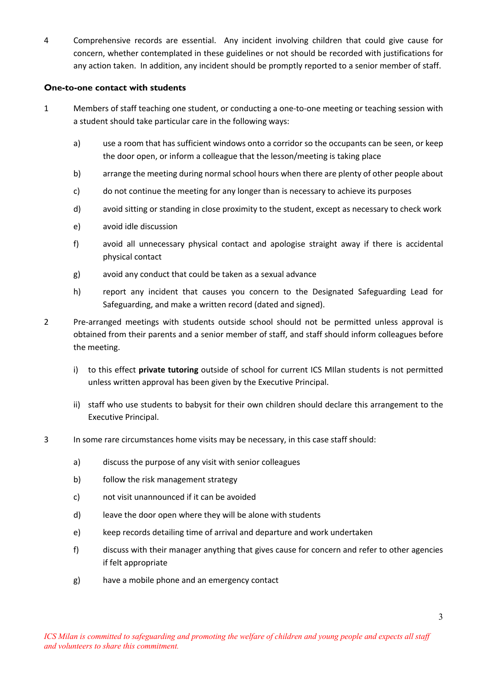4 Comprehensive records are essential. Any incident involving children that could give cause for concern, whether contemplated in these guidelines or not should be recorded with justifications for any action taken. In addition, any incident should be promptly reported to a senior member of staff.

## **One-to-one contact with students**

- 1 Members of staff teaching one student, or conducting a one-to-one meeting or teaching session with a student should take particular care in the following ways:
	- a) use a room that has sufficient windows onto a corridor so the occupants can be seen, or keep the door open, or inform a colleague that the lesson/meeting is taking place
	- b) arrange the meeting during normal school hours when there are plenty of other people about
	- c) do not continue the meeting for any longer than is necessary to achieve its purposes
	- d) avoid sitting or standing in close proximity to the student, except as necessary to check work
	- e) avoid idle discussion
	- f) avoid all unnecessary physical contact and apologise straight away if there is accidental physical contact
	- g) avoid any conduct that could be taken as a sexual advance
	- h) report any incident that causes you concern to the Designated Safeguarding Lead for Safeguarding, and make a written record (dated and signed).
- 2 Pre-arranged meetings with students outside school should not be permitted unless approval is obtained from their parents and a senior member of staff, and staff should inform colleagues before the meeting.
	- i) to this effect **private tutoring** outside of school for current ICS MIlan students is not permitted unless written approval has been given by the Executive Principal.
	- ii) staff who use students to babysit for their own children should declare this arrangement to the Executive Principal.
- 3 In some rare circumstances home visits may be necessary, in this case staff should:
	- a) discuss the purpose of any visit with senior colleagues
	- b) follow the risk management strategy
	- c) not visit unannounced if it can be avoided
	- d) leave the door open where they will be alone with students
	- e) keep records detailing time of arrival and departure and work undertaken
	- f) discuss with their manager anything that gives cause for concern and refer to other agencies if felt appropriate
	- g) have a mobile phone and an emergency contact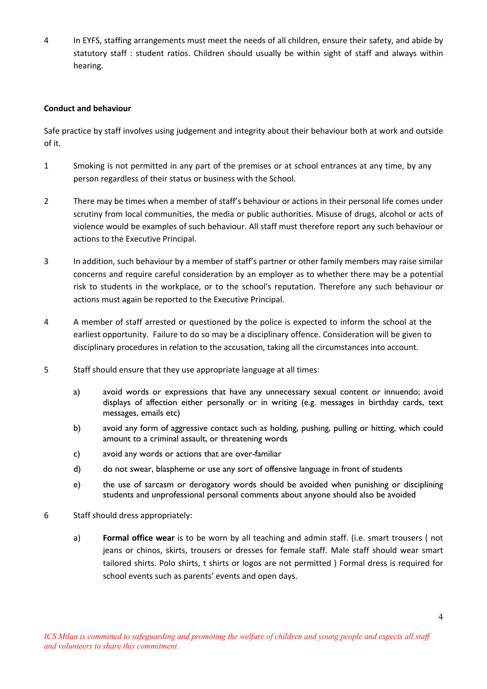4 In EYFS, staffing arrangements must meet the needs of all children, ensure their safety, and abide by statutory staff : student ratios. Children should usually be within sight of staff and always within hearing.

#### **Conduct and behaviour**

Safe practice by staff involves using judgement and integrity about their behaviour both at work and outside of it.

- 1 Smoking is not permitted in any part of the premises or at school entrances at any time, by any person regardless of their status or business with the School.
- 2 There may be times when a member of staff's behaviour or actions in their personal life comes under scrutiny from local communities, the media or public authorities. Misuse of drugs, alcohol or acts of violence would be examples of such behaviour. All staff must therefore report any such behaviour or actions to the Executive Principal.
- 3 In addition, such behaviour by a member of staff's partner or other family members may raise similar concerns and require careful consideration by an employer as to whether there may be a potential risk to students in the workplace, or to the school's reputation. Therefore any such behaviour or actions must again be reported to the Executive Principal.
- 4 A member of staff arrested or questioned by the police is expected to inform the school at the earliest opportunity. Failure to do so may be a disciplinary offence. Consideration will be given to disciplinary procedures in relation to the accusation, taking all the circumstances into account.
- 5 Staff should ensure that they use appropriate language at all times:
	- a) avoid words or expressions that have any unnecessary sexual content or innuendo; avoid displays of affection either personally or in writing (e.g. messages in birthday cards, text messages, emails etc)
	- b) avoid any form of aggressive contact such as holding, pushing, pulling or hitting, which could amount to a criminal assault, or threatening words
	- c) avoid any words or actions that are over-familiar
	- d) do not swear, blaspheme or use any sort of offensive language in front of students
	- e) the use of sarcasm or derogatory words should be avoided when punishing or disciplining students and unprofessional personal comments about anyone should also be avoided
- 6 Staff should dress appropriately:
	- a) **Formal office wear** is to be worn by all teaching and admin staff. (i.e. smart trousers ( not jeans or chinos, skirts, trousers or dresses for female staff. Male staff should wear smart tailored shirts. Polo shirts, t shirts or logos are not permitted ) Formal dress is required for school events such as parents' events and open days.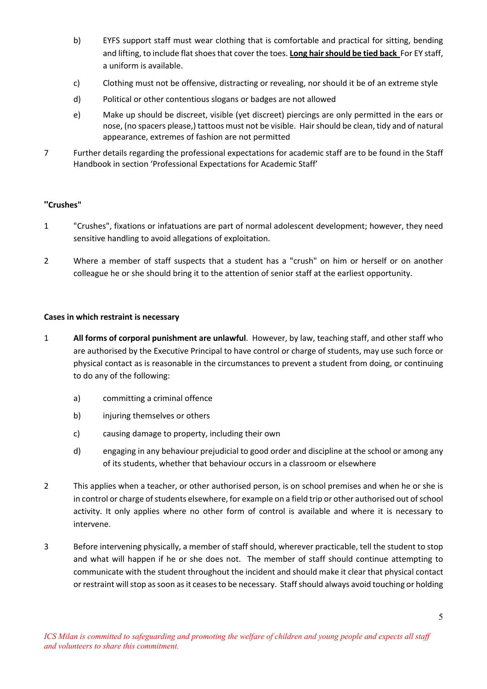- b) EYFS support staff must wear clothing that is comfortable and practical for sitting, bending and lifting, to include flat shoes that cover the toes. **Long hair should be tied back** For EY staff, a uniform is available.
- c) Clothing must not be offensive, distracting or revealing, nor should it be of an extreme style
- d) Political or other contentious slogans or badges are not allowed
- e) Make up should be discreet, visible (yet discreet) piercings are only permitted in the ears or nose, (no spacers please,) tattoos must not be visible. Hair should be clean, tidy and of natural appearance, extremes of fashion are not permitted
- 7 Further details regarding the professional expectations for academic staff are to be found in the Staff Handbook in section 'Professional Expectations for Academic Staff'

# **"Crushes"**

- 1 "Crushes", fixations or infatuations are part of normal adolescent development; however, they need sensitive handling to avoid allegations of exploitation.
- 2 Where a member of staff suspects that a student has a "crush" on him or herself or on another colleague he or she should bring it to the attention of senior staff at the earliest opportunity.

# **Cases in which restraint is necessary**

- 1 **All forms of corporal punishment are unlawful**. However, by law, teaching staff, and other staff who are authorised by the Executive Principal to have control or charge of students, may use such force or physical contact as is reasonable in the circumstances to prevent a student from doing, or continuing to do any of the following:
	- a) committing a criminal offence
	- b) injuring themselves or others
	- c) causing damage to property, including their own
	- d) engaging in any behaviour prejudicial to good order and discipline at the school or among any of its students, whether that behaviour occurs in a classroom or elsewhere
- 2 This applies when a teacher, or other authorised person, is on school premises and when he or she is in control or charge of students elsewhere, for example on a field trip or other authorised out of school activity. It only applies where no other form of control is available and where it is necessary to intervene.
- 3 Before intervening physically, a member of staff should, wherever practicable, tell the student to stop and what will happen if he or she does not. The member of staff should continue attempting to communicate with the student throughout the incident and should make it clear that physical contact or restraint will stop as soon as it ceases to be necessary. Staff should always avoid touching or holding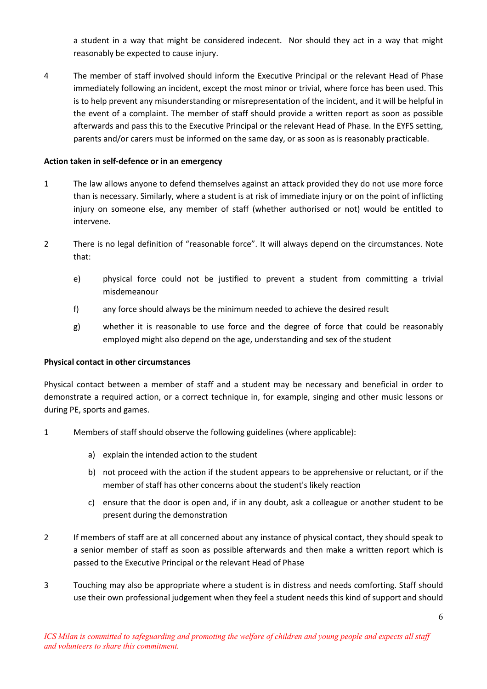a student in a way that might be considered indecent. Nor should they act in a way that might reasonably be expected to cause injury.

4 The member of staff involved should inform the Executive Principal or the relevant Head of Phase immediately following an incident, except the most minor or trivial, where force has been used. This is to help prevent any misunderstanding or misrepresentation of the incident, and it will be helpful in the event of a complaint. The member of staff should provide a written report as soon as possible afterwards and pass this to the Executive Principal or the relevant Head of Phase. In the EYFS setting, parents and/or carers must be informed on the same day, or as soon as is reasonably practicable.

#### **Action taken in self-defence or in an emergency**

- 1 The law allows anyone to defend themselves against an attack provided they do not use more force than is necessary. Similarly, where a student is at risk of immediate injury or on the point of inflicting injury on someone else, any member of staff (whether authorised or not) would be entitled to intervene.
- 2 There is no legal definition of "reasonable force". It will always depend on the circumstances. Note that:
	- e) physical force could not be justified to prevent a student from committing a trivial misdemeanour
	- f) any force should always be the minimum needed to achieve the desired result
	- g) whether it is reasonable to use force and the degree of force that could be reasonably employed might also depend on the age, understanding and sex of the student

# **Physical contact in other circumstances**

Physical contact between a member of staff and a student may be necessary and beneficial in order to demonstrate a required action, or a correct technique in, for example, singing and other music lessons or during PE, sports and games.

- 1 Members of staff should observe the following guidelines (where applicable):
	- a) explain the intended action to the student
	- b) not proceed with the action if the student appears to be apprehensive or reluctant, or if the member of staff has other concerns about the student's likely reaction
	- c) ensure that the door is open and, if in any doubt, ask a colleague or another student to be present during the demonstration
- 2 If members of staff are at all concerned about any instance of physical contact, they should speak to a senior member of staff as soon as possible afterwards and then make a written report which is passed to the Executive Principal or the relevant Head of Phase
- 3 Touching may also be appropriate where a student is in distress and needs comforting. Staff should use their own professional judgement when they feel a student needs this kind of support and should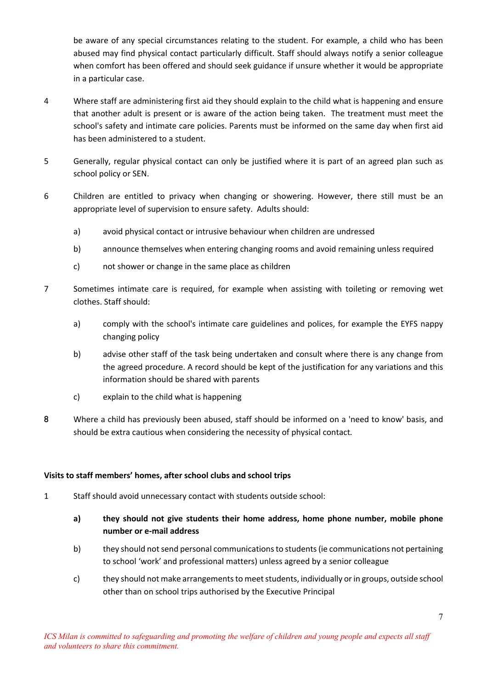be aware of any special circumstances relating to the student. For example, a child who has been abused may find physical contact particularly difficult. Staff should always notify a senior colleague when comfort has been offered and should seek guidance if unsure whether it would be appropriate in a particular case.

- 4 Where staff are administering first aid they should explain to the child what is happening and ensure that another adult is present or is aware of the action being taken. The treatment must meet the school's safety and intimate care policies. Parents must be informed on the same day when first aid has been administered to a student.
- 5 Generally, regular physical contact can only be justified where it is part of an agreed plan such as school policy or SEN.
- 6 Children are entitled to privacy when changing or showering. However, there still must be an appropriate level of supervision to ensure safety. Adults should:
	- a) avoid physical contact or intrusive behaviour when children are undressed
	- b) announce themselves when entering changing rooms and avoid remaining unless required
	- c) not shower or change in the same place as children
- 7 Sometimes intimate care is required, for example when assisting with toileting or removing wet clothes. Staff should:
	- a) comply with the school's intimate care guidelines and polices, for example the EYFS nappy changing policy
	- b) advise other staff of the task being undertaken and consult where there is any change from the agreed procedure. A record should be kept of the justification for any variations and this information should be shared with parents
	- c) explain to the child what is happening
- 8 Where a child has previously been abused, staff should be informed on a 'need to know' basis, and should be extra cautious when considering the necessity of physical contact.

# **Visits to staff members' homes, after school clubs and school trips**

- 1 Staff should avoid unnecessary contact with students outside school:
	- **a) they should not give students their home address, home phone number, mobile phone number or e-mail address**
	- b) they should not send personal communications to students (ie communications not pertaining to school 'work' and professional matters) unless agreed by a senior colleague
	- c) they should not make arrangements to meet students, individually or in groups, outside school other than on school trips authorised by the Executive Principal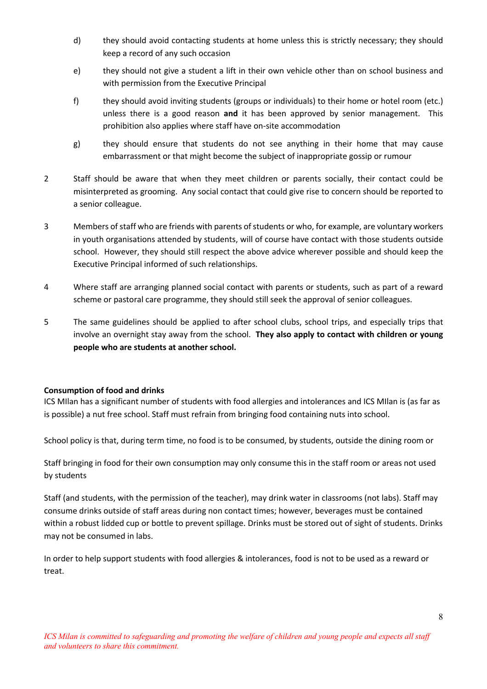- d) they should avoid contacting students at home unless this is strictly necessary; they should keep a record of any such occasion
- e) they should not give a student a lift in their own vehicle other than on school business and with permission from the Executive Principal
- f) they should avoid inviting students (groups or individuals) to their home or hotel room (etc.) unless there is a good reason **and** it has been approved by senior management. This prohibition also applies where staff have on-site accommodation
- g) they should ensure that students do not see anything in their home that may cause embarrassment or that might become the subject of inappropriate gossip or rumour
- 2 Staff should be aware that when they meet children or parents socially, their contact could be misinterpreted as grooming. Any social contact that could give rise to concern should be reported to a senior colleague.
- 3 Members of staff who are friends with parents of students or who, for example, are voluntary workers in youth organisations attended by students, will of course have contact with those students outside school. However, they should still respect the above advice wherever possible and should keep the Executive Principal informed of such relationships.
- 4 Where staff are arranging planned social contact with parents or students, such as part of a reward scheme or pastoral care programme, they should still seek the approval of senior colleagues.
- 5 The same guidelines should be applied to after school clubs, school trips, and especially trips that involve an overnight stay away from the school. **They also apply to contact with children or young people who are students at another school.**

#### **Consumption of food and drinks**

ICS MIlan has a significant number of students with food allergies and intolerances and ICS MIlan is (as far as is possible) a nut free school. Staff must refrain from bringing food containing nuts into school.

School policy is that, during term time, no food is to be consumed, by students, outside the dining room or

Staff bringing in food for their own consumption may only consume this in the staff room or areas not used by students

Staff (and students, with the permission of the teacher), may drink water in classrooms (not labs). Staff may consume drinks outside of staff areas during non contact times; however, beverages must be contained within a robust lidded cup or bottle to prevent spillage. Drinks must be stored out of sight of students. Drinks may not be consumed in labs.

In order to help support students with food allergies & intolerances, food is not to be used as a reward or treat.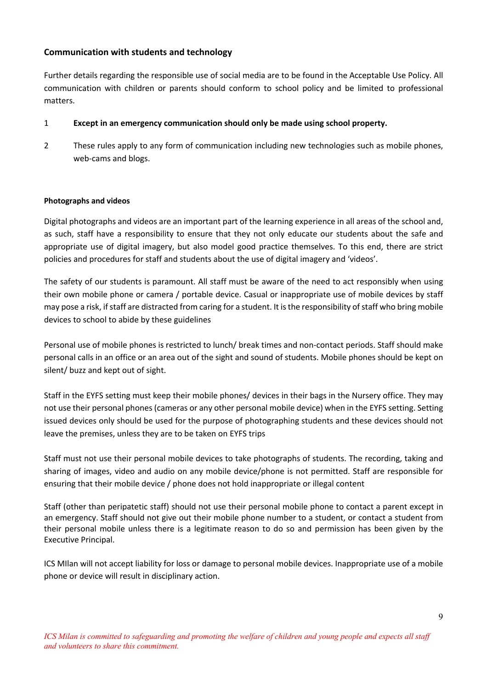# **Communication with students and technology**

Further details regarding the responsible use of social media are to be found in the Acceptable Use Policy. All communication with children or parents should conform to school policy and be limited to professional matters.

# 1 **Except in an emergency communication should only be made using school property.**

2 These rules apply to any form of communication including new technologies such as mobile phones, web-cams and blogs.

#### **Photographs and videos**

Digital photographs and videos are an important part of the learning experience in all areas of the school and, as such, staff have a responsibility to ensure that they not only educate our students about the safe and appropriate use of digital imagery, but also model good practice themselves. To this end, there are strict policies and procedures for staff and students about the use of digital imagery and 'videos'.

The safety of our students is paramount. All staff must be aware of the need to act responsibly when using their own mobile phone or camera / portable device. Casual or inappropriate use of mobile devices by staff may pose a risk, if staff are distracted from caring for a student. It is the responsibility of staff who bring mobile devices to school to abide by these guidelines

Personal use of mobile phones is restricted to lunch/ break times and non-contact periods. Staff should make personal calls in an office or an area out of the sight and sound of students. Mobile phones should be kept on silent/ buzz and kept out of sight.

Staff in the EYFS setting must keep their mobile phones/ devices in their bags in the Nursery office. They may not use their personal phones (cameras or any other personal mobile device) when in the EYFS setting. Setting issued devices only should be used for the purpose of photographing students and these devices should not leave the premises, unless they are to be taken on EYFS trips

Staff must not use their personal mobile devices to take photographs of students. The recording, taking and sharing of images, video and audio on any mobile device/phone is not permitted. Staff are responsible for ensuring that their mobile device / phone does not hold inappropriate or illegal content

Staff (other than peripatetic staff) should not use their personal mobile phone to contact a parent except in an emergency. Staff should not give out their mobile phone number to a student, or contact a student from their personal mobile unless there is a legitimate reason to do so and permission has been given by the Executive Principal.

ICS MIlan will not accept liability for loss or damage to personal mobile devices. Inappropriate use of a mobile phone or device will result in disciplinary action.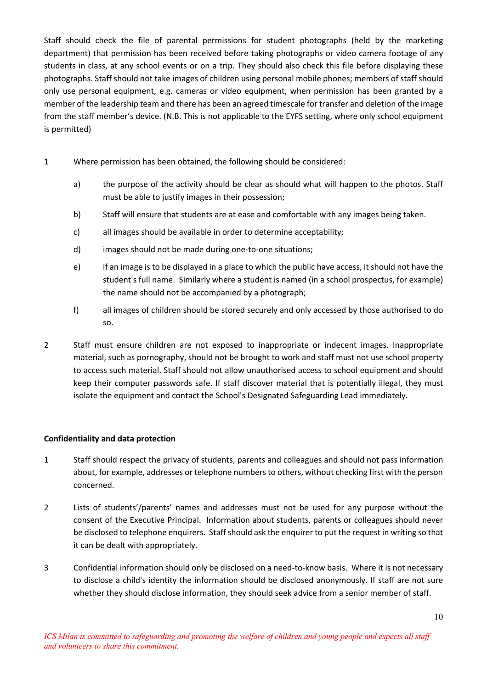Staff should check the file of parental permissions for student photographs (held by the marketing department) that permission has been received before taking photographs or video camera footage of any students in class, at any school events or on a trip. They should also check this file before displaying these photographs. Staff should not take images of children using personal mobile phones; members of staff should only use personal equipment, e.g. cameras or video equipment, when permission has been granted by a member of the leadership team and there has been an agreed timescale for transfer and deletion of the image from the staff member's device. (N.B. This is not applicable to the EYFS setting, where only school equipment is permitted)

- 1 Where permission has been obtained, the following should be considered:
	- a) the purpose of the activity should be clear as should what will happen to the photos. Staff must be able to justify images in their possession;
	- b) Staff will ensure that students are at ease and comfortable with any images being taken.
	- c) all images should be available in order to determine acceptability;
	- d) images should not be made during one-to-one situations;
	- e) if an image is to be displayed in a place to which the public have access, it should not have the student's full name. Similarly where a student is named (in a school prospectus, for example) the name should not be accompanied by a photograph;
	- f) all images of children should be stored securely and only accessed by those authorised to do so.
- 2 Staff must ensure children are not exposed to inappropriate or indecent images. Inappropriate material, such as pornography, should not be brought to work and staff must not use school property to access such material. Staff should not allow unauthorised access to school equipment and should keep their computer passwords safe. If staff discover material that is potentially illegal, they must isolate the equipment and contact the School's Designated Safeguarding Lead immediately.

# **Confidentiality and data protection**

- 1 Staff should respect the privacy of students, parents and colleagues and should not pass information about, for example, addresses or telephone numbers to others, without checking first with the person concerned.
- 2 Lists of students'/parents' names and addresses must not be used for any purpose without the consent of the Executive Principal. Information about students, parents or colleagues should never be disclosed to telephone enquirers. Staff should ask the enquirer to put the request in writing so that it can be dealt with appropriately.
- 3 Confidential information should only be disclosed on a need-to-know basis. Where it is not necessary to disclose a child's identity the information should be disclosed anonymously. If staff are not sure whether they should disclose information, they should seek advice from a senior member of staff.